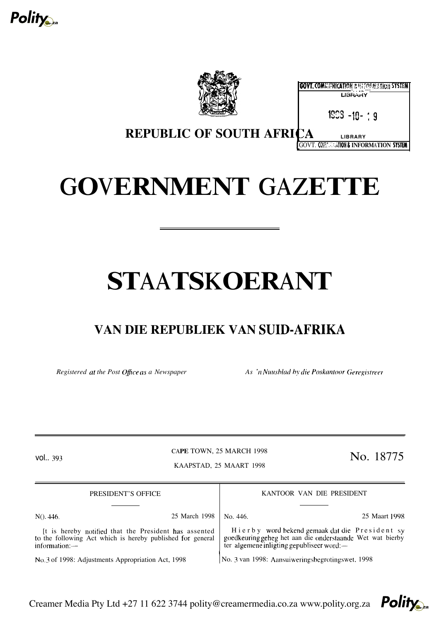



| <u>ырнан т</u>   |  |  |
|------------------|--|--|
| $1993 - 10 - 19$ |  |  |

**GOVT. COMMUNICATION & HEFORMATION SYSTEM** 

**REPUBLIC OF SOUTH AFRIC** 

**LIBRARY GOVT. CORNECTION & INFORMATION SYSTEM** 

## **GOVERNMENT GAZETTE**

# STAATSKOERANT

### VAN DIE REPUBLIEK VAN SUID-AFRIKA

Registered at the Post Office as a Newspaper

As 'n Nuusblad by die Poskantoor Geregistreer

vol., 393

CAPE TOWN, 25 MARCH 1998

KAAPSTAD, 25 MAART 1998

No. 18775

| PRESIDENT'S OFFICE                                                                                                                                                                                                                                                                                     |                                           | KANTOOR VAN DIE PRESIDENT                                                                                   |  |  |
|--------------------------------------------------------------------------------------------------------------------------------------------------------------------------------------------------------------------------------------------------------------------------------------------------------|-------------------------------------------|-------------------------------------------------------------------------------------------------------------|--|--|
|                                                                                                                                                                                                                                                                                                        |                                           |                                                                                                             |  |  |
| N().446.                                                                                                                                                                                                                                                                                               | 25 March 1998   No. 446.                  | 25 Maart 1998                                                                                               |  |  |
| It is hereby notified that the President has assented to the following Act which is hereby published for general<br>information:—                                                                                                                                                                      | ter algemene inligting gepubliseer word:— | Hierby word bekend gemaak dat die President sy<br>goedkeuring geheg het aan die onderstaande Wet wat bierby |  |  |
| $\mathbf{M}$ a $\mathbf{C}$ 1000 $\mathbf{A}$ $\mathbf{H}$ and $\mathbf{A}$ and $\mathbf{A}$ and $\mathbf{A}$ and $\mathbf{A}$ and $\mathbf{A}$ and $\mathbf{A}$ and $\mathbf{A}$ and $\mathbf{A}$ and $\mathbf{A}$ and $\mathbf{A}$ and $\mathbf{A}$ and $\mathbf{A}$ and $\mathbf{A}$ and $\mathbf{$ | $1000 + 1000 + 11$                        |                                                                                                             |  |  |

No. 3 of 1998: Adjustments Appropriation Act, 1998

No. 3 van 1998: Aansuiweringsbegrotingswet, 1998



Creamer Media Pty Ltd +27 11 622 3744 polity@creamermedia.co.za www.polity.org.za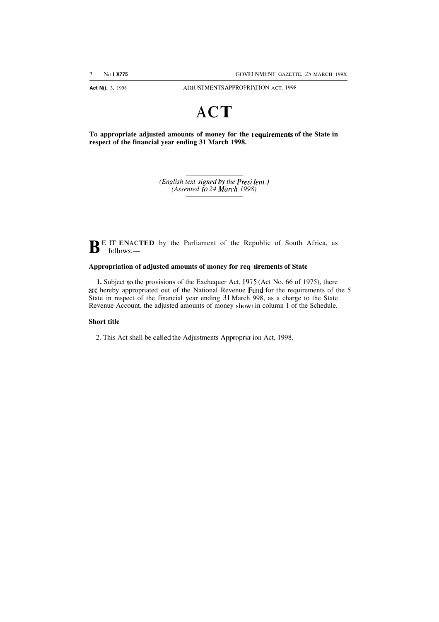**Act N().** 3, 1998 ADJUSTMENTS APPROPRIATION ACT. 1998

## **ACT**

**To appropriate adjusted amounts of money for the <sup>I</sup> equirements of the State in respect of the financial year ending 31 March 1998.**

> *(English text signed by the Presi lent.) (Assented to 24 March 1998)*

BE IT ENACTED by the Parliament of the Republic of South Africa, as follows: follows:-

#### **Appropriation of adjusted amounts of money for req lirements of State**

**1.** Subject to the provisions of the Exchequer Act, 1975 (Act No. 66 of 1975), there are hereby appropriated out of the National Revenue Furld for the requirements of the 5 State in respect of the financial year ending 31 March 998, as a charge to the State Revenue Account, the adjusted amounts of money showr in column 1 of the Schedule.

#### **Short title**

2. This Act shall be called the Adjustments Approprial ion Act, 1998.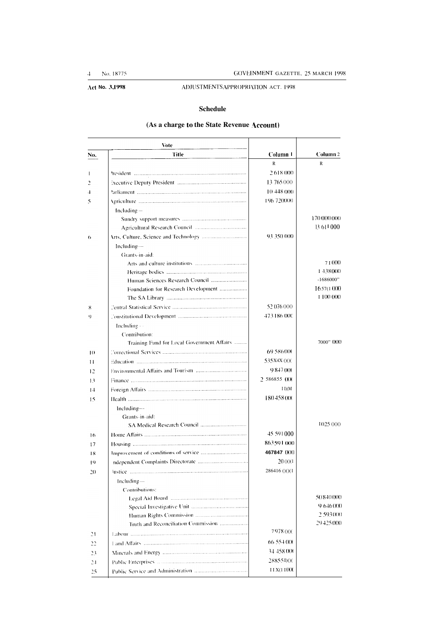No. 18775

 $\overline{\mathcal{L}}$ 

Act No. 3,1998

### **Schedule**

ADJUSTMENTS APPROPRIATION ACT. 1998

#### Vote Title Column 1 Column 2 No.  ${\bf R}$  $\mathbb{R}$ 2 618 000  $\overline{1}$  $\overline{\phantom{a}}$ 13 765 000 10.448.000  $\mathbf{1}$ 196 720000  $\overline{\mathbf{S}}$ Including-170 000 000 13 611 000 93 350 000  $\epsilon$ Including-Grants-in-aid: 71000 I 438 000  $-1686000"$ 1657(1000) Foundation for Research Development .................. 1100000 52 076 000  $\mathbf{8}$ 473186.000  $\mathbf{o}$ Including-Contribution: Training Fund for Local Government Affairs ........ 7000" (H)() 69.586.000  $\bar{1}0$ 535 X4X 000  $\overline{11}$ 9 847 000  $12$ 2 586855 (K)  $\mathbf{1}$  $I D(M)$  $14$ 180 458 000  $15$ Including-Grants-in-aid: 1025 000 45 591 000  $16$ 863591000  $17$ 467847 (K)() 18  $200001$  $19$ 286416 ()()(1  $20$ Including-Contributions: 50 840 000 9.646.000 2.593000 Truth and Reconciliation Commission ................. 29.425.000 7978.000  $21$ 66.554.000  $22$ 34 458 00  $23$ 288551)()(  $24$ **IIX(1I00)**

#### (As a charge to the State Revenue Account)